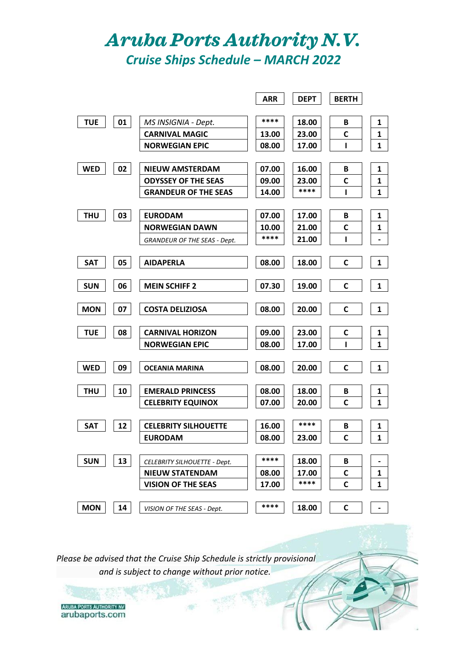## *Aruba Ports Authority N.V. Cruise Ships Schedule – MARCH 2022*

|            |    |                                     | <b>ARR</b> | <b>DEPT</b> | <b>BERTH</b> |                |
|------------|----|-------------------------------------|------------|-------------|--------------|----------------|
|            |    |                                     |            |             |              |                |
| <b>TUE</b> | 01 | MS INSIGNIA - Dept.                 | ****       | 18.00       | В            | 1              |
|            |    | <b>CARNIVAL MAGIC</b>               | 13.00      | 23.00       | C            | 1              |
|            |    | <b>NORWEGIAN EPIC</b>               | 08.00      | 17.00       | ı            | $\mathbf{1}$   |
|            |    |                                     |            |             |              |                |
| <b>WED</b> | 02 | <b>NIEUW AMSTERDAM</b>              | 07.00      | 16.00       | B            | 1              |
|            |    | <b>ODYSSEY OF THE SEAS</b>          | 09.00      | 23.00       | C            | 1              |
|            |    | <b>GRANDEUR OF THE SEAS</b>         | 14.00      | ****        | ı            | $\mathbf{1}$   |
|            |    |                                     |            |             |              |                |
| <b>THU</b> | 03 | <b>EURODAM</b>                      | 07.00      | 17.00       | В            | 1              |
|            |    | <b>NORWEGIAN DAWN</b>               | 10.00      | 21.00       | C            | 1              |
|            |    | <b>GRANDEUR OF THE SEAS - Dept.</b> | ****       | 21.00       | ı            | $\blacksquare$ |
|            |    |                                     |            |             |              |                |
| <b>SAT</b> | 05 | <b>AIDAPERLA</b>                    | 08.00      | 18.00       | C            | $\mathbf{1}$   |
|            |    |                                     |            |             |              |                |
| <b>SUN</b> | 06 | <b>MEIN SCHIFF 2</b>                | 07.30      | 19.00       | $\mathsf{C}$ | 1              |
|            |    |                                     |            |             |              |                |
| <b>MON</b> | 07 | <b>COSTA DELIZIOSA</b>              | 08.00      | 20.00       | C            | 1              |
|            |    |                                     |            |             |              |                |
| <b>TUE</b> | 08 | <b>CARNIVAL HORIZON</b>             | 09.00      | 23.00       | C            | 1              |
|            |    | <b>NORWEGIAN EPIC</b>               | 08.00      | 17.00       | ı            | $\mathbf{1}$   |
|            |    |                                     |            |             |              |                |
| <b>WED</b> | 09 | <b>OCEANIA MARINA</b>               | 08.00      | 20.00       | $\mathsf{C}$ | $\mathbf{1}$   |
|            |    |                                     |            |             |              |                |
| <b>THU</b> | 10 | <b>EMERALD PRINCESS</b>             | 08.00      | 18.00       | B            | 1              |
|            |    | <b>CELEBRITY EQUINOX</b>            | 07.00      | 20.00       | C            | $\mathbf{1}$   |
|            |    |                                     |            |             |              |                |
| <b>SAT</b> | 12 | <b>CELEBRITY SILHOUETTE</b>         | 16.00      | ****        | B            | 1              |
|            |    | <b>EURODAM</b>                      | 08.00      | 23.00       | $\mathsf{C}$ | $\mathbf{1}$   |
|            |    |                                     |            |             |              |                |
| <b>SUN</b> | 13 | <b>CELEBRITY SILHOUETTE - Dept.</b> | ****       | 18.00       | B            |                |
|            |    | <b>NIEUW STATENDAM</b>              | 08.00      | 17.00       | C            | 1              |
|            |    | <b>VISION OF THE SEAS</b>           | 17.00      | ****        | C            | 1              |
|            |    |                                     |            |             |              |                |
| <b>MON</b> | 14 | VISION OF THE SEAS - Dept.          | ****       | 18.00       | C            |                |
|            |    |                                     |            |             |              |                |

*Please be advised that the Cruise Ship Schedule is strictly provisional and is subject to change without prior notice.*

**ARUBA PORTS AUTHORITY NV** arubaports.com